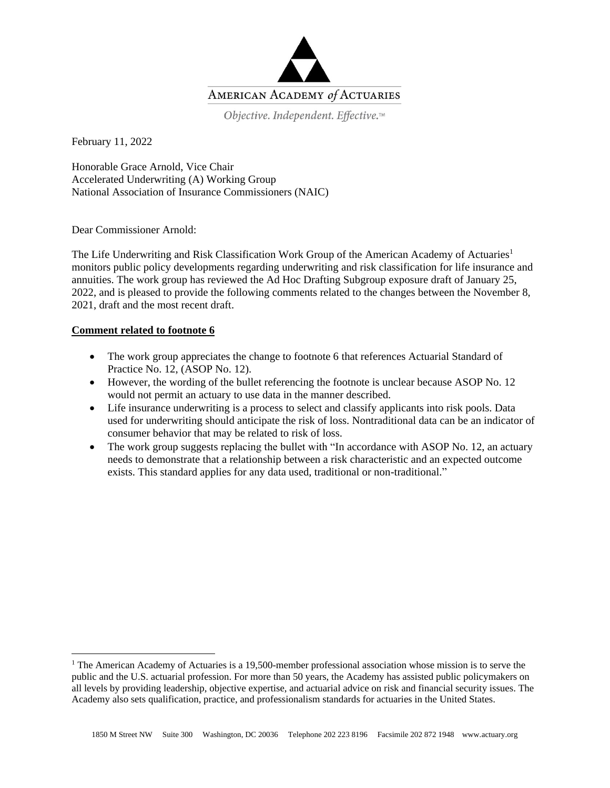

Objective. Independent. Effective.™

February 11, 2022

Honorable Grace Arnold, Vice Chair Accelerated Underwriting (A) Working Group National Association of Insurance Commissioners (NAIC)

Dear Commissioner Arnold:

The Life Underwriting and Risk Classification Work Group of the American Academy of Actuaries<sup>1</sup> monitors public policy developments regarding underwriting and risk classification for life insurance and annuities. The work group has reviewed the Ad Hoc Drafting Subgroup exposure draft of January 25, 2022, and is pleased to provide the following comments related to the changes between the November 8, 2021, draft and the most recent draft.

## **Comment related to footnote 6**

- The work group appreciates the change to footnote 6 that references Actuarial Standard of Practice No. 12, (ASOP No. 12).
- However, the wording of the bullet referencing the footnote is unclear because ASOP No. 12 would not permit an actuary to use data in the manner described.
- Life insurance underwriting is a process to select and classify applicants into risk pools. Data used for underwriting should anticipate the risk of loss. Nontraditional data can be an indicator of consumer behavior that may be related to risk of loss.
- The work group suggests replacing the bullet with "In accordance with ASOP No. 12, an actuary needs to demonstrate that a relationship between a risk characteristic and an expected outcome exists. This standard applies for any data used, traditional or non-traditional."

<sup>&</sup>lt;sup>1</sup> The American Academy of Actuaries is a 19,500-member professional association whose mission is to serve the public and the U.S. actuarial profession. For more than 50 years, the Academy has assisted public policymakers on all levels by providing leadership, objective expertise, and actuarial advice on risk and financial security issues. The Academy also sets qualification, practice, and professionalism standards for actuaries in the United States.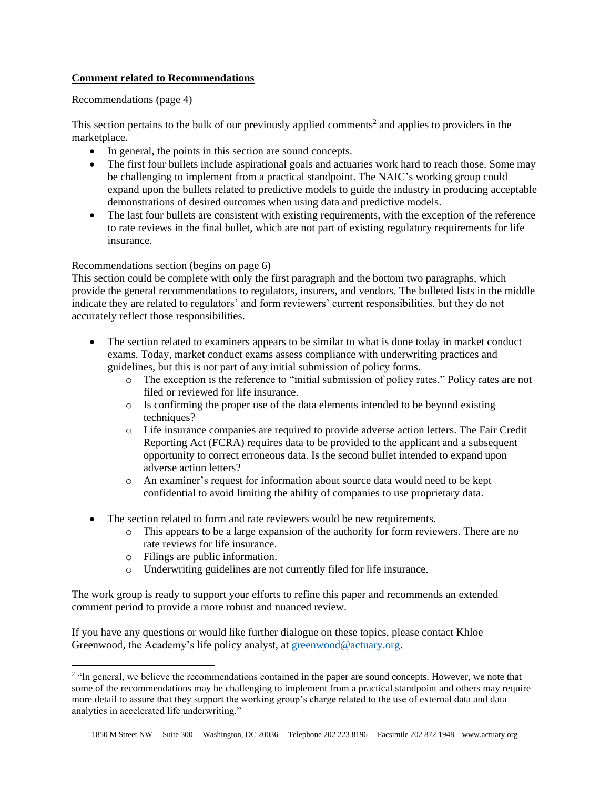## **Comment related to Recommendations**

## Recommendations (page 4)

This section pertains to the bulk of our previously applied comments<sup>2</sup> and applies to providers in the marketplace.

- In general, the points in this section are sound concepts.
- The first four bullets include aspirational goals and actuaries work hard to reach those. Some may be challenging to implement from a practical standpoint. The NAIC's working group could expand upon the bullets related to predictive models to guide the industry in producing acceptable demonstrations of desired outcomes when using data and predictive models.
- The last four bullets are consistent with existing requirements, with the exception of the reference to rate reviews in the final bullet, which are not part of existing regulatory requirements for life insurance.

## Recommendations section (begins on page 6)

This section could be complete with only the first paragraph and the bottom two paragraphs, which provide the general recommendations to regulators, insurers, and vendors. The bulleted lists in the middle indicate they are related to regulators' and form reviewers' current responsibilities, but they do not accurately reflect those responsibilities.

- The section related to examiners appears to be similar to what is done today in market conduct exams. Today, market conduct exams assess compliance with underwriting practices and guidelines, but this is not part of any initial submission of policy forms.
	- o The exception is the reference to "initial submission of policy rates." Policy rates are not filed or reviewed for life insurance.
	- o Is confirming the proper use of the data elements intended to be beyond existing techniques?
	- o Life insurance companies are required to provide adverse action letters. The Fair Credit Reporting Act (FCRA) requires data to be provided to the applicant and a subsequent opportunity to correct erroneous data. Is the second bullet intended to expand upon adverse action letters?
	- o An examiner's request for information about source data would need to be kept confidential to avoid limiting the ability of companies to use proprietary data.
- The section related to form and rate reviewers would be new requirements.
	- o This appears to be a large expansion of the authority for form reviewers. There are no rate reviews for life insurance.
	- o Filings are public information.
	- o Underwriting guidelines are not currently filed for life insurance.

The work group is ready to support your efforts to refine this paper and recommends an extended comment period to provide a more robust and nuanced review.

If you have any questions or would like further dialogue on these topics, please contact Khloe Greenwood, the Academy's life policy analyst, at [greenwood@actuary.org.](mailto:greenwood@actuary.org)

<sup>&</sup>lt;sup>2</sup> "In general, we believe the recommendations contained in the paper are sound concepts. However, we note that some of the recommendations may be challenging to implement from a practical standpoint and others may require more detail to assure that they support the working group's charge related to the use of external data and data analytics in accelerated life underwriting."